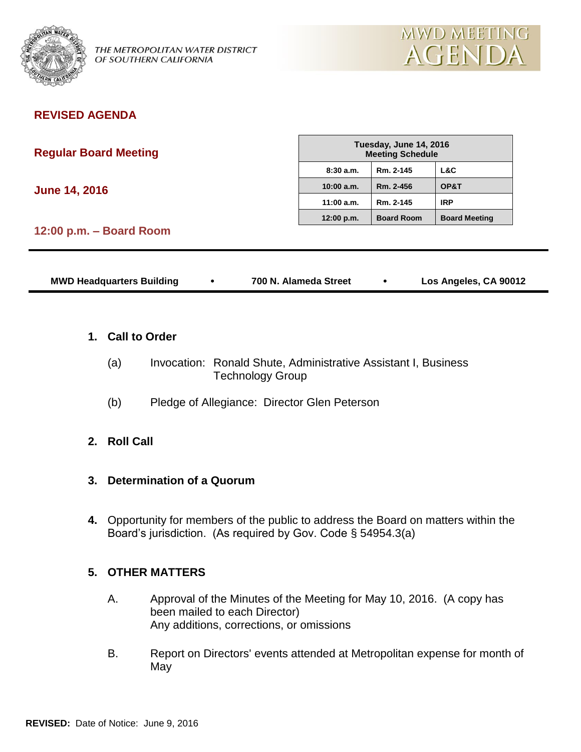

OF SOUTHERN CALIFORNIA

# **REVISED AGENDA**

|  |  | <b>Regular Board Meeting</b> |
|--|--|------------------------------|
|--|--|------------------------------|

**June 14, 2016**

| Tuesday, June 14, 2016<br><b>Meeting Schedule</b> |                   |                      |  |  |
|---------------------------------------------------|-------------------|----------------------|--|--|
| 8:30a.m.                                          | Rm. 2-145         | L&C                  |  |  |
| 10:00 a.m.                                        | Rm. 2-456         | OP&T                 |  |  |
| 11:00 a.m.                                        | Rm. 2-145         | IRP                  |  |  |
| 12:00 p.m.                                        | <b>Board Room</b> | <b>Board Meeting</b> |  |  |

# **12:00 p.m. – Board Room**

| <b>MWD Headquarters Building</b> | 700 N. Alameda Street | Los Angeles, CA 90012 |
|----------------------------------|-----------------------|-----------------------|
|                                  |                       |                       |

### **1. Call to Order**

- (a) Invocation: Ronald Shute, Administrative Assistant I, Business Technology Group
- (b) Pledge of Allegiance: Director Glen Peterson

### **2. Roll Call**

### **3. Determination of a Quorum**

**4.** Opportunity for members of the public to address the Board on matters within the Board's jurisdiction. (As required by Gov. Code § 54954.3(a)

### **5. OTHER MATTERS**

- A. Approval of the Minutes of the Meeting for May 10, 2016. (A copy has been mailed to each Director) Any additions, corrections, or omissions
- B. Report on Directors' events attended at Metropolitan expense for month of May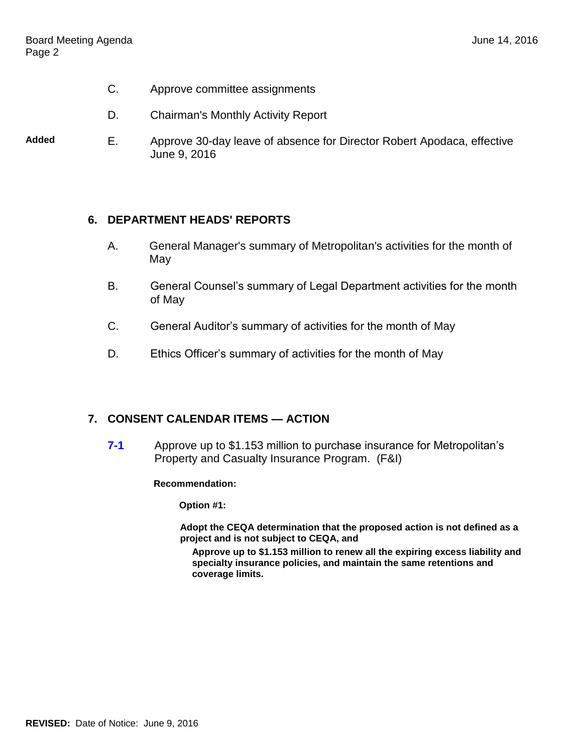- C. Approve committee assignments
- D. Chairman's Monthly Activity Report
- **Added** E. Approve 30-day leave of absence for Director Robert Apodaca, effective June 9, 2016

### **6. DEPARTMENT HEADS' REPORTS**

- A. General Manager's summary of Metropolitan's activities for the month of May
- B. General Counsel's summary of Legal Department activities for the month of May
- C. General Auditor's summary of activities for the month of May
- D. Ethics Officer's summary of activities for the month of May

### **7. CONSENT CALENDAR ITEMS — ACTION**

**7-1** Approve up to \$1.153 million to purchase insurance for Metropolitan's Property and Casualty Insurance Program. (F&I)

#### **Recommendation:**

**Option #1:**

**Adopt the CEQA determination that the proposed action is not defined as a project and is not subject to CEQA, and**

**Approve up to \$1.153 million to renew all the expiring excess liability and specialty insurance policies, and maintain the same retentions and coverage limits.**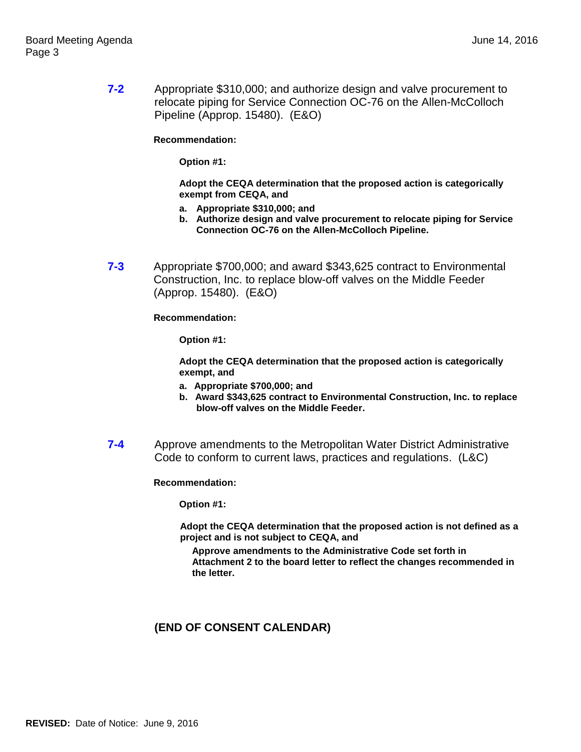**7-2** Appropriate \$310,000; and authorize design and valve procurement to relocate piping for Service Connection OC-76 on the Allen-McColloch Pipeline (Approp. 15480). (E&O)

**Recommendation:**

**Option #1:**

**Adopt the CEQA determination that the proposed action is categorically exempt from CEQA, and**

- **a. Appropriate \$310,000; and**
- **b. Authorize design and valve procurement to relocate piping for Service Connection OC-76 on the Allen-McColloch Pipeline.**
- **7-3** Appropriate \$700,000; and award \$343,625 contract to Environmental Construction, Inc. to replace blow-off valves on the Middle Feeder (Approp. 15480). (E&O)

**Recommendation:**

**Option #1:**

**Adopt the CEQA determination that the proposed action is categorically exempt, and**

- **a. Appropriate \$700,000; and**
- **b. Award \$343,625 contract to Environmental Construction, Inc. to replace blow-off valves on the Middle Feeder.**
- **7-4** Approve amendments to the Metropolitan Water District Administrative Code to conform to current laws, practices and regulations. (L&C)

**Recommendation:**

**Option #1:**

**Adopt the CEQA determination that the proposed action is not defined as a project and is not subject to CEQA, and**

**Approve amendments to the Administrative Code set forth in Attachment 2 to the board letter to reflect the changes recommended in the letter.**

### **(END OF CONSENT CALENDAR)**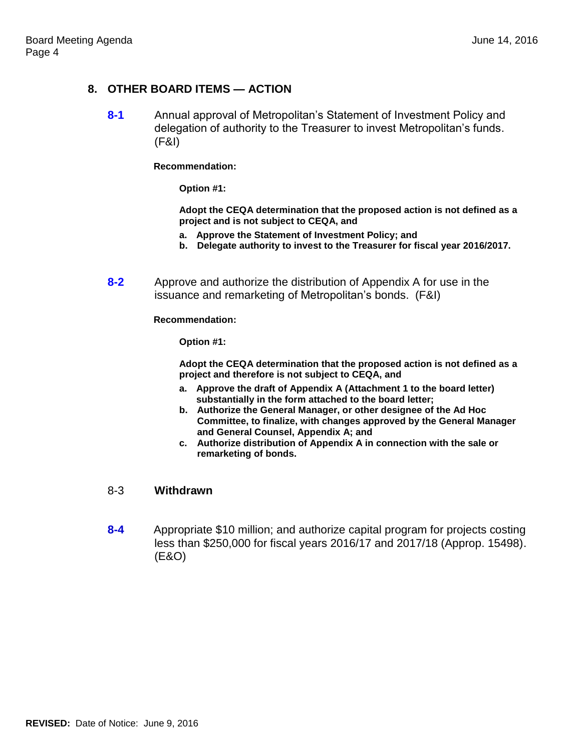# **8. OTHER BOARD ITEMS — ACTION**

**8-1** Annual approval of Metropolitan's Statement of Investment Policy and delegation of authority to the Treasurer to invest Metropolitan's funds. (F&I)

**Recommendation:**

**Option #1:**

**Adopt the CEQA determination that the proposed action is not defined as a project and is not subject to CEQA, and**

- **a. Approve the Statement of Investment Policy; and**
- **b. Delegate authority to invest to the Treasurer for fiscal year 2016/2017.**
- **8-2** Approve and authorize the distribution of Appendix A for use in the issuance and remarketing of Metropolitan's bonds. (F&I)

**Recommendation:**

**Option #1:**

**Adopt the CEQA determination that the proposed action is not defined as a project and therefore is not subject to CEQA, and**

- **a. Approve the draft of Appendix A (Attachment 1 to the board letter) substantially in the form attached to the board letter;**
- **b. Authorize the General Manager, or other designee of the Ad Hoc Committee, to finalize, with changes approved by the General Manager and General Counsel, Appendix A; and**
- **c. Authorize distribution of Appendix A in connection with the sale or remarketing of bonds.**

### 8-3 **Withdrawn**

**8-4** Appropriate \$10 million; and authorize capital program for projects costing less than \$250,000 for fiscal years 2016/17 and 2017/18 (Approp. 15498). (E&O)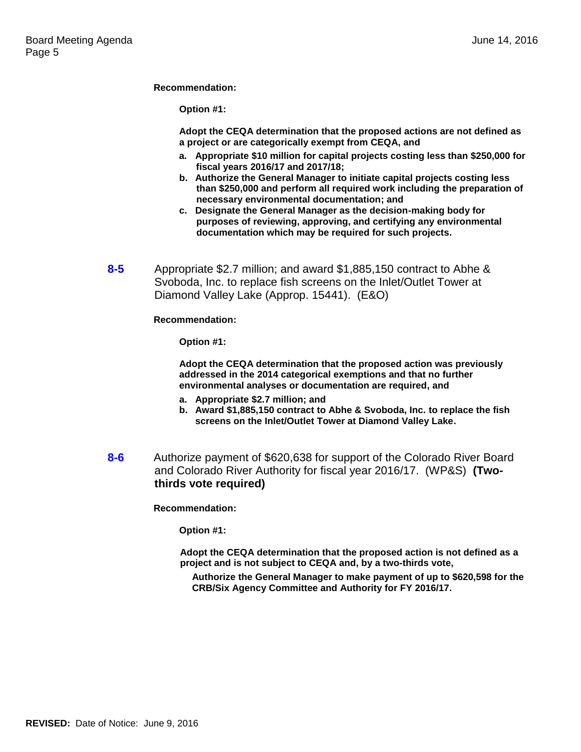**Recommendation:**

**Option #1:**

**Adopt the CEQA determination that the proposed actions are not defined as a project or are categorically exempt from CEQA, and**

- **a. Appropriate \$10 million for capital projects costing less than \$250,000 for fiscal years 2016/17 and 2017/18;**
- **b. Authorize the General Manager to initiate capital projects costing less than \$250,000 and perform all required work including the preparation of necessary environmental documentation; and**
- **c. Designate the General Manager as the decision-making body for purposes of reviewing, approving, and certifying any environmental documentation which may be required for such projects.**
- **8-5** Appropriate \$2.7 million; and award \$1,885,150 contract to Abhe & Svoboda, Inc. to replace fish screens on the Inlet/Outlet Tower at Diamond Valley Lake (Approp. 15441). (E&O)

**Recommendation:**

**Option #1:**

**Adopt the CEQA determination that the proposed action was previously addressed in the 2014 categorical exemptions and that no further environmental analyses or documentation are required, and**

- **a. Appropriate \$2.7 million; and**
- **b. Award \$1,885,150 contract to Abhe & Svoboda, Inc. to replace the fish screens on the Inlet/Outlet Tower at Diamond Valley Lake.**
- **8-6** Authorize payment of \$620,638 for support of the Colorado River Board and Colorado River Authority for fiscal year 2016/17. (WP&S) **(Twothirds vote required)**

**Recommendation:**

**Option #1:**

**Adopt the CEQA determination that the proposed action is not defined as a project and is not subject to CEQA and, by a two-thirds vote,** 

**Authorize the General Manager to make payment of up to \$620,598 for the CRB/Six Agency Committee and Authority for FY 2016/17.**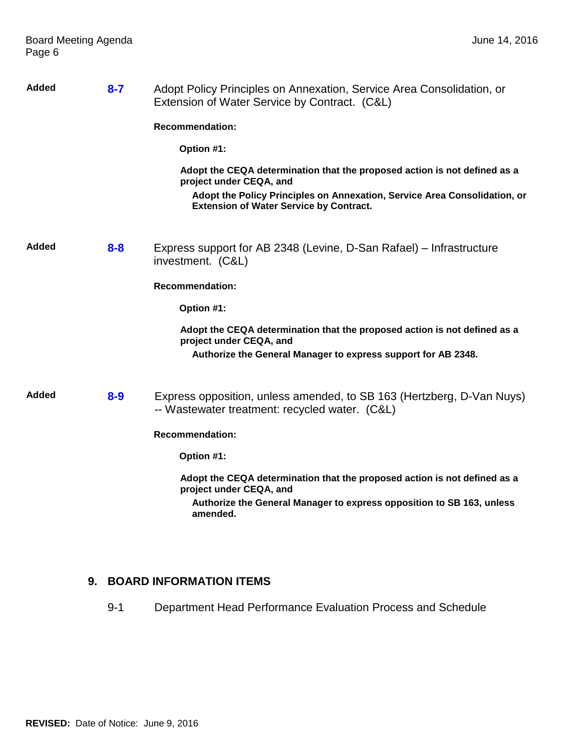| Added | $8 - 7$ | Adopt Policy Principles on Annexation, Service Area Consolidation, or<br>Extension of Water Service by Contract. (C&L)      |
|-------|---------|-----------------------------------------------------------------------------------------------------------------------------|
|       |         | <b>Recommendation:</b>                                                                                                      |
|       |         | Option #1:                                                                                                                  |
|       |         | Adopt the CEQA determination that the proposed action is not defined as a<br>project under CEQA, and                        |
|       |         | Adopt the Policy Principles on Annexation, Service Area Consolidation, or<br><b>Extension of Water Service by Contract.</b> |
| Added | $8 - 8$ | Express support for AB 2348 (Levine, D-San Rafael) – Infrastructure<br>investment. (C&L)                                    |
|       |         | <b>Recommendation:</b>                                                                                                      |
|       |         | Option #1:                                                                                                                  |
|       |         | Adopt the CEQA determination that the proposed action is not defined as a<br>project under CEQA, and                        |
|       |         | Authorize the General Manager to express support for AB 2348.                                                               |
| Added | $8 - 9$ | Express opposition, unless amended, to SB 163 (Hertzberg, D-Van Nuys)<br>-- Wastewater treatment: recycled water. (C&L)     |
|       |         | <b>Recommendation:</b>                                                                                                      |
|       |         | Option #1:                                                                                                                  |
|       |         | Adopt the CEQA determination that the proposed action is not defined as a<br>project under CEQA, and                        |
|       |         | Authorize the General Manager to express opposition to SB 163, unless<br>amended.                                           |

# **9. BOARD INFORMATION ITEMS**

9-1 Department Head Performance Evaluation Process and Schedule